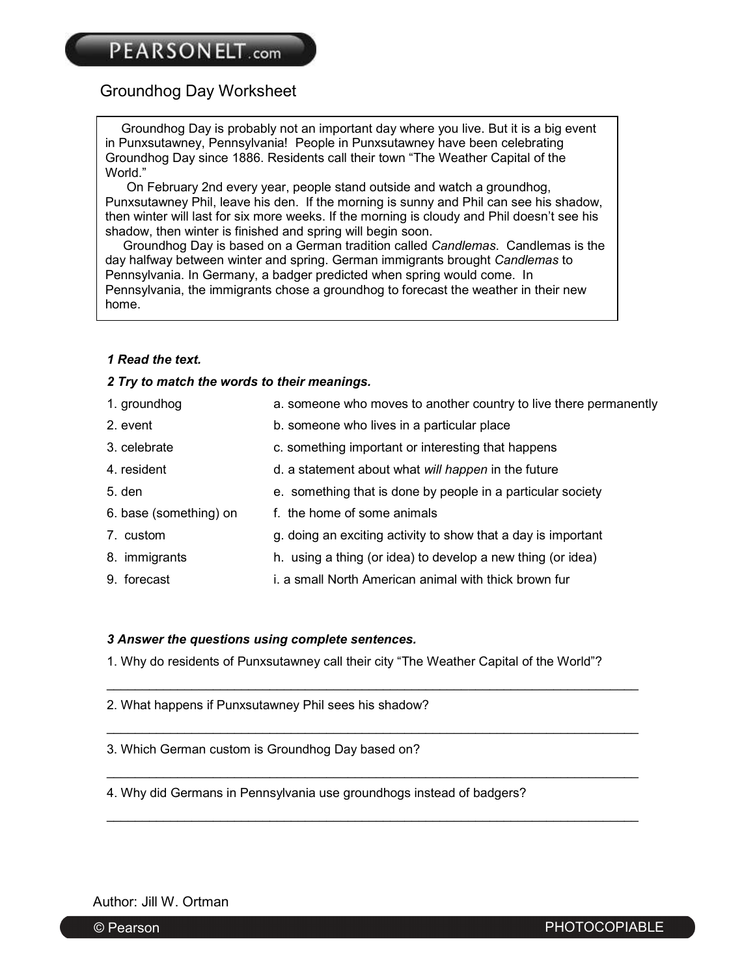### Groundhog Day Worksheet

Groundhog Day is probably not an important day where you live. But it is a big event in Punxsutawney, Pennsylvania! People in Punxsutawney have been celebrating Groundhog Day since 1886. Residents call their town "The Weather Capital of the World."

 On February 2nd every year, people stand outside and watch a groundhog, Punxsutawney Phil, leave his den. If the morning is sunny and Phil can see his shadow, then winter will last for six more weeks. If the morning is cloudy and Phil doesn't see his shadow, then winter is finished and spring will begin soon.

 Groundhog Day is based on a German tradition called *Candlemas*. Candlemas is the day halfway between winter and spring. German immigrants brought *Candlemas* to Pennsylvania. In Germany, a badger predicted when spring would come. In Pennsylvania, the immigrants chose a groundhog to forecast the weather in their new home.

#### *1 Read the text.*

#### *2 Try to match the words to their meanings.*

| 1. groundhog           | a. someone who moves to another country to live there permanently |
|------------------------|-------------------------------------------------------------------|
| 2. event               | b. someone who lives in a particular place                        |
| 3. celebrate           | c. something important or interesting that happens                |
| 4. resident            | d. a statement about what will happen in the future               |
| $5.$ den               | e. something that is done by people in a particular society       |
| 6. base (something) on | f. the home of some animals                                       |
| 7. custom              | g. doing an exciting activity to show that a day is important     |
| 8. immigrants          | h. using a thing (or idea) to develop a new thing (or idea)       |
| 9. forecast            | i. a small North American animal with thick brown fur             |
|                        |                                                                   |

#### *3 Answer the questions using complete sentences.*

1. Why do residents of Punxsutawney call their city "The Weather Capital of the World"?

\_\_\_\_\_\_\_\_\_\_\_\_\_\_\_\_\_\_\_\_\_\_\_\_\_\_\_\_\_\_\_\_\_\_\_\_\_\_\_\_\_\_\_\_\_\_\_\_\_\_\_\_\_\_\_\_\_\_\_\_\_\_\_\_\_\_\_\_\_\_\_\_\_\_\_

\_\_\_\_\_\_\_\_\_\_\_\_\_\_\_\_\_\_\_\_\_\_\_\_\_\_\_\_\_\_\_\_\_\_\_\_\_\_\_\_\_\_\_\_\_\_\_\_\_\_\_\_\_\_\_\_\_\_\_\_\_\_\_\_\_\_\_\_\_\_\_\_\_\_\_

\_\_\_\_\_\_\_\_\_\_\_\_\_\_\_\_\_\_\_\_\_\_\_\_\_\_\_\_\_\_\_\_\_\_\_\_\_\_\_\_\_\_\_\_\_\_\_\_\_\_\_\_\_\_\_\_\_\_\_\_\_\_\_\_\_\_\_\_\_\_\_\_\_\_\_

\_\_\_\_\_\_\_\_\_\_\_\_\_\_\_\_\_\_\_\_\_\_\_\_\_\_\_\_\_\_\_\_\_\_\_\_\_\_\_\_\_\_\_\_\_\_\_\_\_\_\_\_\_\_\_\_\_\_\_\_\_\_\_\_\_\_\_\_\_\_\_\_\_\_\_

2. What happens if Punxsutawney Phil sees his shadow?

3. Which German custom is Groundhog Day based on?

4. Why did Germans in Pennsylvania use groundhogs instead of badgers?

Author: Jill W. Ortman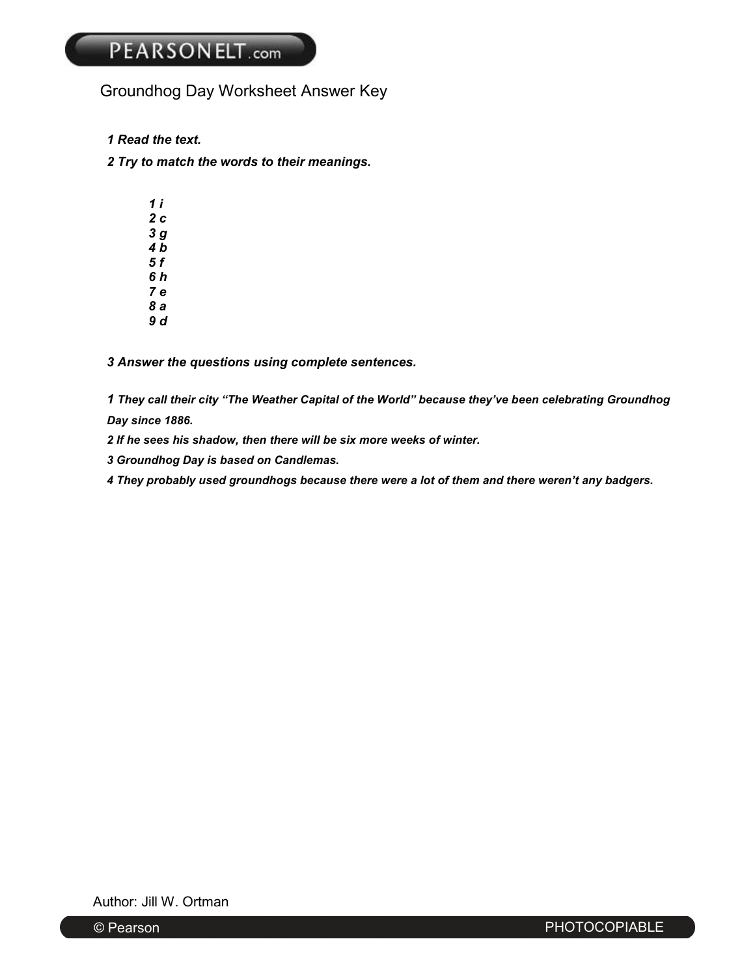## Groundhog Day Worksheet Answer Key

- *1 Read the text.*
- *2 Try to match the words to their meanings.* 
	- *1 i 2 c 3 g 4 b 5 f 6 h 7 e 8 a*
	- *9 d*

*3 Answer the questions using complete sentences.* 

*1 They call their city "The Weather Capital of the World" because they've been celebrating Groundhog Day since 1886.* 

*2 If he sees his shadow, then there will be six more weeks of winter.* 

*3 Groundhog Day is based on Candlemas.* 

*4 They probably used groundhogs because there were a lot of them and there weren't any badgers.* 

Author: Jill W. Ortman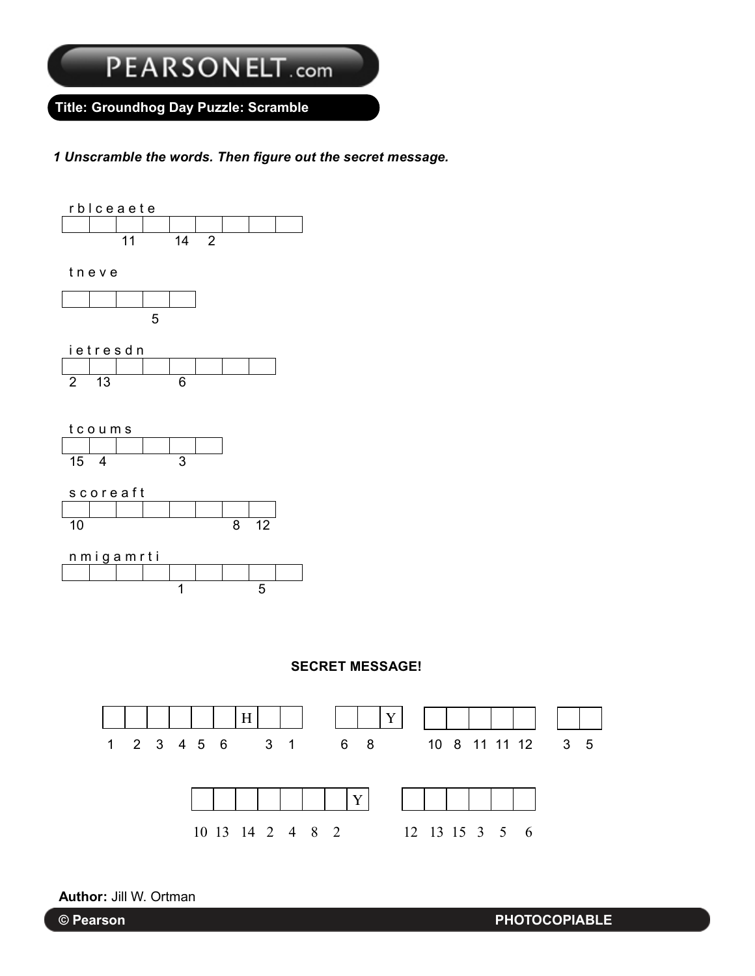Title: Groundhog Day Puzzle: Scramble Groundhog Day Puzzle: Scramble **Title: Groundhog Day Puzzle: Scramble**

*1 Unscramble the words. Then figure out the secret message. 1 Unscramble the words. Then figure out the secret message.*



**SECRET MESSAGE! SECRET MESSAGE!**

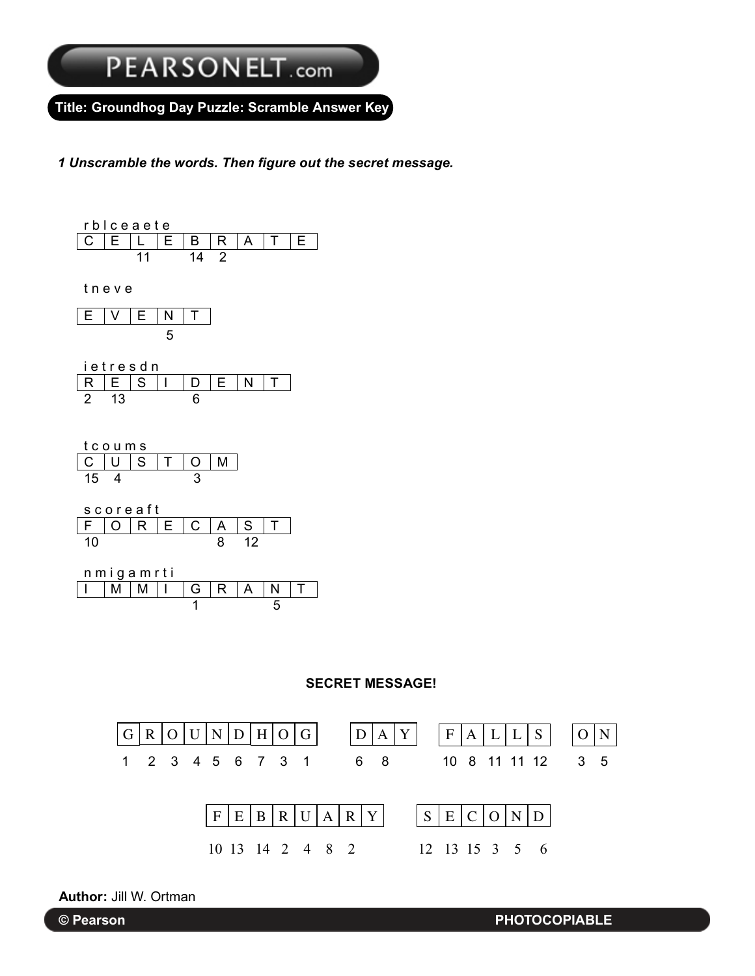Groundhog Day Puzzle: Scramble Answer Key Groundhog Day Puzzle: Scramble Answer Key **Title: Groundhog Day Puzzle: Scramble Answer Key**

*1 Unscramble the words. Then figure out the secret message. 1 Unscramble the words. Then figure out the secret message.*





**Author:** Jill W. Ortman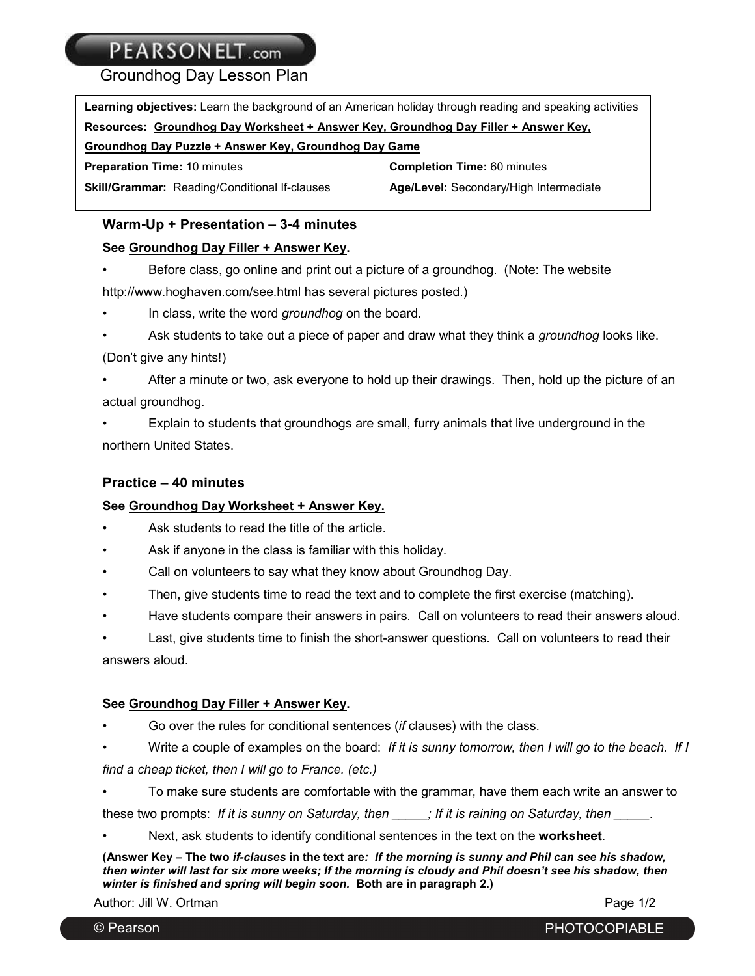Groundhog Day Lesson Plan

| <b>Learning objectives:</b> Learn the background of an American holiday through reading and speaking activities |                                        |  |  |  |
|-----------------------------------------------------------------------------------------------------------------|----------------------------------------|--|--|--|
| Resources: Groundhog Day Worksheet + Answer Key, Groundhog Day Filler + Answer Key,                             |                                        |  |  |  |
| Groundhog Day Puzzle + Answer Key, Groundhog Day Game                                                           |                                        |  |  |  |
| <b>Preparation Time: 10 minutes</b>                                                                             | <b>Completion Time: 60 minutes</b>     |  |  |  |
| <b>Skill/Grammar: Reading/Conditional If-clauses</b>                                                            | Age/Level: Secondary/High Intermediate |  |  |  |

#### **Warm-Up + Presentation – 3-4 minutes**

#### **See Groundhog Day Filler + Answer Key.**

• Before class, go online and print out a picture of a groundhog. (Note: The website http://www.hoghaven.com/see.html has several pictures posted.)

- In class, write the word *groundhog* on the board.
- Ask students to take out a piece of paper and draw what they think a *groundhog* looks like. (Don't give any hints!)

• After a minute or two, ask everyone to hold up their drawings. Then, hold up the picture of an actual groundhog.

• Explain to students that groundhogs are small, furry animals that live underground in the northern United States.

#### **Practice – 40 minutes**

#### **See Groundhog Day Worksheet + Answer Key.**

- Ask students to read the title of the article.
- Ask if anyone in the class is familiar with this holiday.
- Call on volunteers to say what they know about Groundhog Day.
- Then, give students time to read the text and to complete the first exercise (matching).
- Have students compare their answers in pairs. Call on volunteers to read their answers aloud.

Last, give students time to finish the short-answer questions. Call on volunteers to read their answers aloud.

#### **See Groundhog Day Filler + Answer Key.**

- Go over the rules for conditional sentences (*if* clauses) with the class.
- Write a couple of examples on the board: *If it is sunny tomorrow, then I will go to the beach. If I*

*find a cheap ticket, then I will go to France. (etc.)*

• To make sure students are comfortable with the grammar, have them each write an answer to these two prompts: If it is sunny on Saturday, then *etails in tit is raining on Saturday, then* 

• Next, ask students to identify conditional sentences in the text on the **worksheet**.

**(Answer Key – The two** *if-clauses* **in the text are***: If the morning is sunny and Phil can see his shadow, then winter will last for six more weeks; If the morning is cloudy and Phil doesn't see his shadow, then winter is finished and spring will begin soon.* **Both are in paragraph 2.)**

Author: Jill W. Ortman **Page 1/2**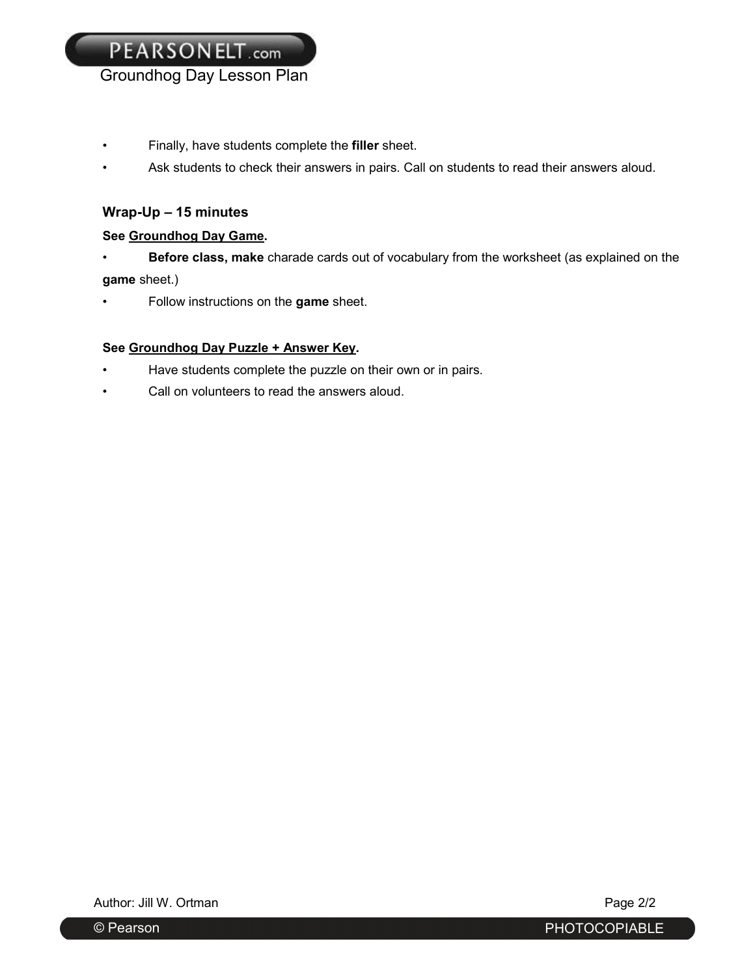- Finally, have students complete the **filler** sheet.
- Ask students to check their answers in pairs. Call on students to read their answers aloud.

#### **Wrap-Up – 15 minutes**

#### **See Groundhog Day Game.**

- **Before class, make** charade cards out of vocabulary from the worksheet (as explained on the **game** sheet.)
- Follow instructions on the **game** sheet.

#### **See Groundhog Day Puzzle + Answer Key.**

- Have students complete the puzzle on their own or in pairs.
- Call on volunteers to read the answers aloud.

Author: Jill W. Ortman **Page 2/2** 

© Pearson PHOTOCOPIABLE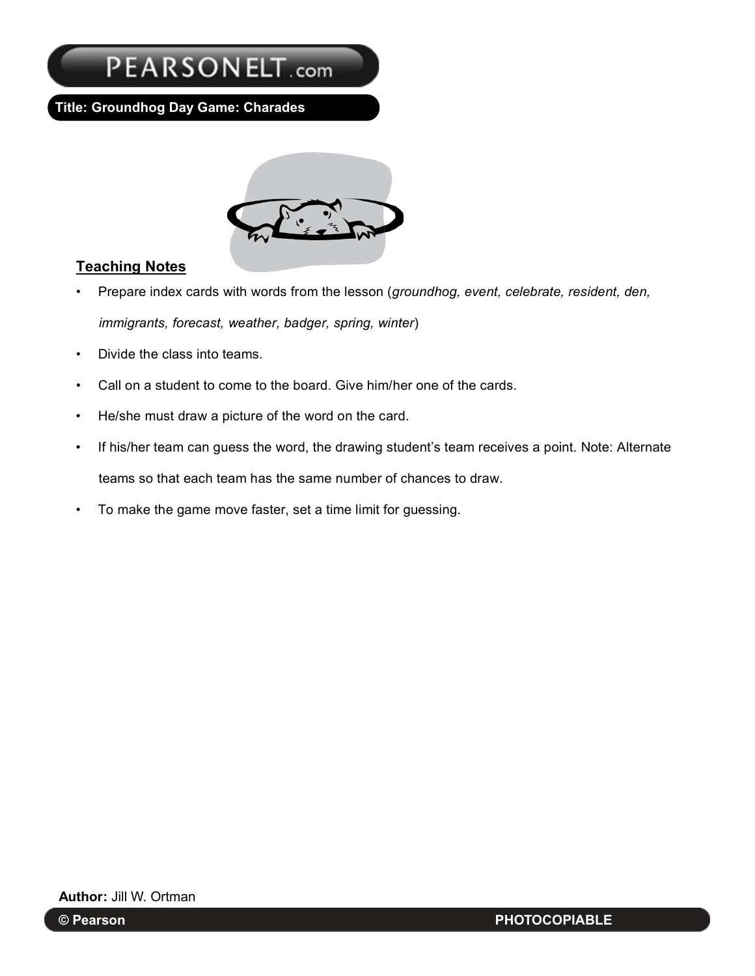**Title: Groundhog Day Game: Charades**



### **Teaching Notes**

- Prepare index cards with words from the lesson (*groundhog, event, celebrate, resident, den, immigrants, forecast, weather, badger, spring, winter*)
- Divide the class into teams.
- Call on a student to come to the board. Give him/her one of the cards.
- He/she must draw a picture of the word on the card.
- If his/her team can guess the word, the drawing student's team receives a point. Note: Alternate teams so that each team has the same number of chances to draw.
- To make the game move faster, set a time limit for guessing.